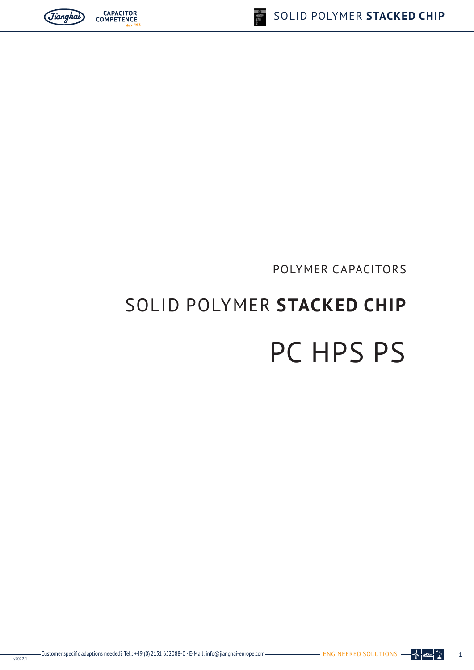# SOLID POLYMER **STACKED CHIP** PC HPS PS

# POLYMER CAPACITORS





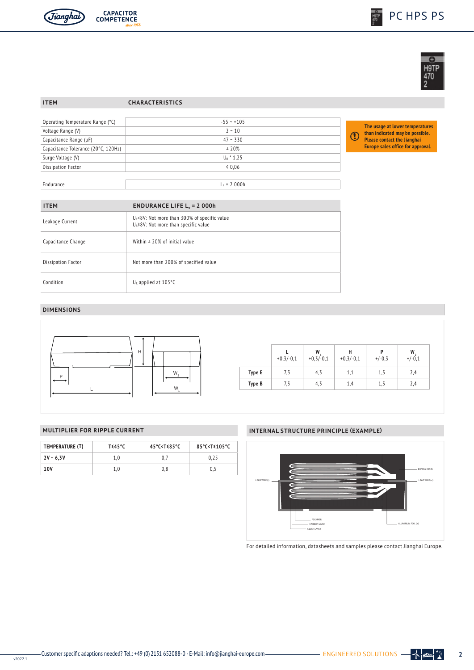





### **ITEM CHARACTERISTICS**

| Operating Temperature Range (°C)    | $-55 - +105$  |  |
|-------------------------------------|---------------|--|
| Voltage Range (V)                   | $2 - 10$      |  |
| Capacitance Range (µF)              | $47 - 330$    |  |
| Capacitance Tolerance (20°C, 120Hz) | ± 20%         |  |
| Surge Voltage (V)                   | $U_R$ * 1,25  |  |
| <b>Dissipation Factor</b>           | $\leq 0.06$   |  |
|                                     |               |  |
| Endurance                           | $L_e = 2000h$ |  |

**The usage at lower temperatures than indicated may be possible. Please contact the Jianghai Europe sales office for approval.**

| <b>ITEM</b>               | <b>ENDURANCE LIFE L<sub><math>e</math></sub> = 2 000h</b>                                      |
|---------------------------|------------------------------------------------------------------------------------------------|
| Leakage Current           | $U_R$ <8V: Not more than 300% of specific value<br>$U_R \ge 8V$ : Not more than specific value |
| Capacitance Change        | Within $\pm$ 20% of initial value                                                              |
| <b>Dissipation Factor</b> | Not more than 200% of specified value                                                          |
| Condition                 | $U_R$ applied at 105 $°C$                                                                      |

## **DIMENSIONS**



|               | $+0,3/-0,1$ | W<br>$+0,3/-0,1$ | н<br>$+0,3/-0,1$ | P<br>$+/-0,3$ | W<br>$+/-0,1$ |
|---------------|-------------|------------------|------------------|---------------|---------------|
| <b>Type E</b> | 7,3         | 4,3              | 1,1              | 1,3           | 2,4           |
| Type B        | 7,3         | 4,3              | 1,4              | 1,3           | 2,4           |

| TEMPERATURE (T) | T≤45°C | 45°C <t <85°c<="" th=""><th>85°C<t <105°c<="" th=""></t></th></t> | 85°C <t <105°c<="" th=""></t> |
|-----------------|--------|-------------------------------------------------------------------|-------------------------------|
| $2V - 6,3V$     | 1.0    |                                                                   | 0.25                          |
| 10V             | 1.0    | 0,8                                                               | 0.5                           |

## **MULTIPLIER FOR RIPPLE CURRENT INTERNAL STRUCTURE PRINCIPLE (EXAMPLE)**



For detailed information, datasheets and samples please contact Jianghai Europe.

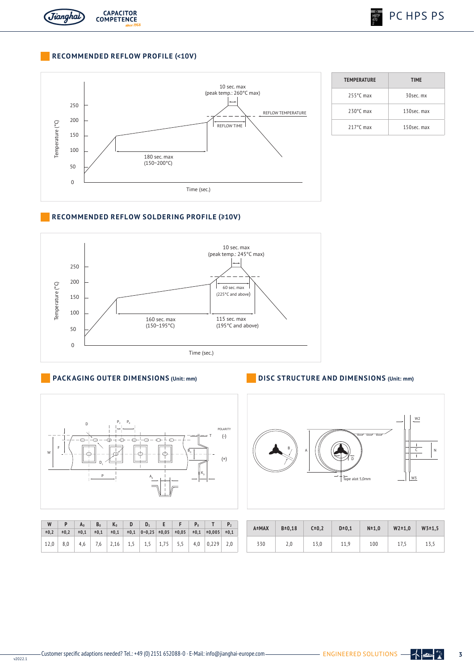

## **RECOMMENDED REFLOW PROFILE (<10V)**



| <b>TEMPERATURE</b>  | <b>TIME</b> |
|---------------------|-------------|
| $255^{\circ}$ C max | 30sec.mx    |
| $230^{\circ}$ C max | 130sec. max |
| $217^{\circ}$ C max | 150sec. max |

## **RECOMMENDED REFLOW SOLDERING PROFILE (≥10V)**



## **PACKAGING OUTER DIMENSIONS (Unit: mm)**



|                                                                          |  |  | $\pm 0.2$ $\pm 0.2$ $\pm 0.1$ $\pm 0.1$ $\pm 0.1$ $\pm 0.1$ $\pm 0.01$ $\pm 0.25$ $\pm 0.05$ $\pm 0.05$ $\pm 0.1$ $\pm 0.005$ $\pm 0.1$ |  |  |  |
|--------------------------------------------------------------------------|--|--|-----------------------------------------------------------------------------------------------------------------------------------------|--|--|--|
| 12,0   8,0   4,6   7,6   2,16   1,5   1,5   1,75   5,5   4,0 0,229   2,0 |  |  |                                                                                                                                         |  |  |  |

## **DISC STRUCTURE AND DIMENSIONS (Unit: mm)**



| A±MAX | $B = 0,18$<br>$C = 0,2$ |      | $D=0,1$ | $N = 1,0$ | $W2 = 1,0$ | $W3 = 1,5$ |  |
|-------|-------------------------|------|---------|-----------|------------|------------|--|
| 330   | 2,0                     | 13,0 | 11,9    | 100       | 17,5       | 13,5       |  |

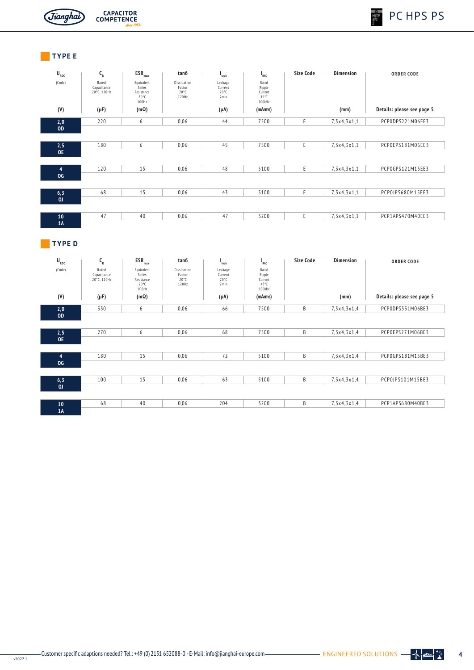



**CAPACITOR**<br>COMPETENCE

# **TYPE E**

| $\mathbf{U}_{_{\mathrm{RDC}}}$ | $\mathsf{C}_{\sf R}$                | $ESR_{max}$                                                   | tan6                                             | <sup>"</sup> leak                            | <sup>1</sup> RAC                             | Size Code | <b>Dimension</b> | <b>ORDER CODE</b>          |
|--------------------------------|-------------------------------------|---------------------------------------------------------------|--------------------------------------------------|----------------------------------------------|----------------------------------------------|-----------|------------------|----------------------------|
| (Code)                         | Rated<br>Capacitance<br>20°C, 120Hz | Equivalent<br>Series<br>Resistance<br>$20^{\circ}$ C<br>100Hz | Dissipation<br>Factor<br>$20^{\circ}$ C<br>120Hz | Leakage<br>Current<br>$20^{\circ}$ C<br>2min | Rated<br>Ripple<br>Current<br>45°C<br>100kHz |           |                  |                            |
| (V)                            | $(\mu F)$                           | $(m\Omega)$                                                   |                                                  | $(\mu A)$                                    | (mArms)                                      |           | (mm)             | Details: please see page 5 |
| 2,0                            | 220                                 | 6                                                             | 0,06                                             | 44                                           | 7500                                         | Ε         | 7,3x4,3x1,1      | PCPODPS221M06EE3           |
| <b>OD</b>                      |                                     |                                                               |                                                  |                                              |                                              |           |                  |                            |
|                                |                                     |                                                               |                                                  |                                              |                                              |           |                  |                            |
| 2,5                            | 180                                 | 6                                                             | 0,06                                             | 45                                           | 7500                                         | E         | 7,3x4,3x1,1      | PCP0EPS181M06EE3           |
| <b>OE</b>                      |                                     |                                                               |                                                  |                                              |                                              |           |                  |                            |
| $\overline{4}$                 | 120                                 | 15                                                            | 0,06                                             | 48                                           | 5100                                         | E         | 7,3x4,3x1,1      | PCP0GPS121M15EE3           |
| OG                             |                                     |                                                               |                                                  |                                              |                                              |           |                  |                            |
|                                |                                     |                                                               |                                                  |                                              |                                              |           |                  |                            |
| 6, 3                           | 68                                  | 15                                                            | 0,06                                             | 43                                           | 5100                                         | E         | 7,3x4,3x1,1      | PCP0JPS680M15EE3           |
| 0 <sub>1</sub>                 |                                     |                                                               |                                                  |                                              |                                              |           |                  |                            |
|                                |                                     |                                                               |                                                  |                                              |                                              |           |                  |                            |
| 10                             | 47                                  | 40                                                            | 0,06                                             | 47                                           | 3200                                         | Ε         | 7,3x4,3x1,1      | PCP1APS470M40EE3           |
| 1A                             |                                     |                                                               |                                                  |                                              |                                              |           |                  |                            |

## **TYPE D**

| $\mathbf{U}_{_{\mathrm{RDC}}}$ | $C_{R}$                             | $ESR_{max}$                                                   | tan6                                             | I<br>leak                                    | $I_{RAC}$                                              | <b>Size Code</b> | <b>Dimension</b> | <b>ORDER CODE</b>          |
|--------------------------------|-------------------------------------|---------------------------------------------------------------|--------------------------------------------------|----------------------------------------------|--------------------------------------------------------|------------------|------------------|----------------------------|
| (Code)                         | Rated<br>Capacitance<br>20°C, 120Hz | Equivalent<br>Series<br>Resistance<br>$20^{\circ}$ C<br>100Hz | Dissipation<br>Factor<br>$20^{\circ}$ C<br>120Hz | Leakage<br>Current<br>$20^{\circ}$ C<br>2min | Rated<br>Ripple<br>Current<br>$45^{\circ}$ C<br>100kHz |                  |                  |                            |
| (V)                            | $(\mu F)$                           | $(m\Omega)$                                                   |                                                  | $(\mu A)$                                    | (mArms)                                                |                  | (mm)             | Details: please see page 5 |
| 2,0                            | 330                                 | 6                                                             | 0,06                                             | 66                                           | 7500                                                   | B                | 7,3x4,3x1,4      | PCPODPS331M06BE3           |
| <b>OD</b>                      |                                     |                                                               |                                                  |                                              |                                                        |                  |                  |                            |
| 2,5                            | 270                                 | 6                                                             | 0,06                                             | 68                                           | 7500                                                   | B                | 7,3x4,3x1,4      | PCP0EPS271M06BE3           |
| <b>OE</b>                      |                                     |                                                               |                                                  |                                              |                                                        |                  |                  |                            |
|                                | 180                                 | 15                                                            | 0,06                                             | 72                                           | 5100                                                   | B                | 7,3x4,3x1,4      | PCP0GPS181M15BE3           |
| 4<br>OG                        |                                     |                                                               |                                                  |                                              |                                                        |                  |                  |                            |
|                                |                                     |                                                               |                                                  |                                              |                                                        |                  |                  |                            |
| 6,3                            | 100                                 | 15                                                            | 0,06                                             | 63                                           | 5100                                                   | B                | 7,3x4,3x1,4      | PCP0JPS101M15BE3           |
| 0 <sub>J</sub>                 |                                     |                                                               |                                                  |                                              |                                                        |                  |                  |                            |
| 10                             | 68                                  | 40                                                            | 0,06                                             | 204                                          | 3200                                                   | B                | 7,3x4,3x1,4      | PCP1APS680M40BE3           |
| 1A                             |                                     |                                                               |                                                  |                                              |                                                        |                  |                  |                            |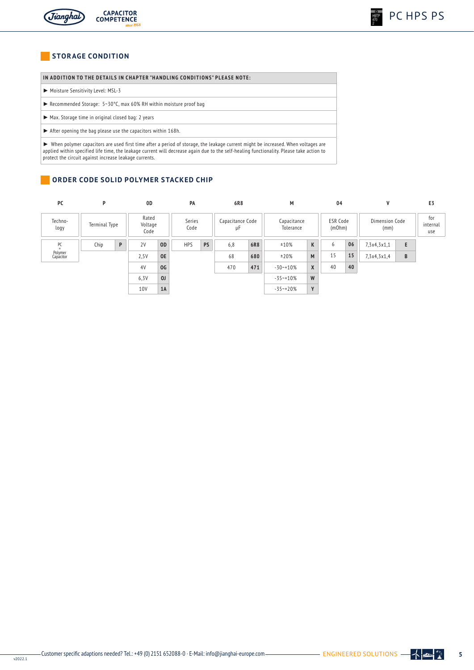

## **STORAGE CONDITION**

## IN ADDITION TO THE DETAILS IN CHAPTER "HANDLING CONDITIONS" PLEASE NOTE:

- ► Moisture Sensitivity Level: MSL-3
- ► Recommended Storage: 5~30°C, max 60% RH within moisture proof bag
- ► Max. Storage time in original closed bag: 2 years
- ► After opening the bag please use the capacitors within 168h.

► When polymer capacitors are used first time after a period of storage, the leakage current might be increased. When voltages are applied within specified life time, the leakage current will decrease again due to the self-healing functionality. Please take action to protect the circuit against increase leakage currents.

## **ORDER CODE SOLID POLYMER STACKED CHIP**

| PC                   | P             |   | 0D                       | PA             |                                          | 6R8<br>М |                          |     | 04                        |              | V                      |    | E3                     |   |  |
|----------------------|---------------|---|--------------------------|----------------|------------------------------------------|----------|--------------------------|-----|---------------------------|--------------|------------------------|----|------------------------|---|--|
| Techno-<br>logy      | Terminal Type |   | Rated<br>Voltage<br>Code |                | Series<br>Capacitance Code<br>Code<br>μF |          | Capacitance<br>Tolerance |     | <b>ESR Code</b><br>(mOhm) |              | Dimension Code<br>(mm) |    | for<br>internal<br>use |   |  |
| PC<br>$=$            | Chip          | P | 2V                       | <b>OD</b>      | <b>HPS</b>                               | PS       | 6,8                      | 6R8 | ±10%                      | K            | 6                      | 06 | 7,3x4,3x1,1            | E |  |
| Polymer<br>Capacitor |               |   | 2,5V                     | <b>OE</b>      |                                          |          | 68                       | 680 | ±20%                      | M            | 15                     | 15 | 7,3x4,3x1,4            | В |  |
|                      |               |   | 4V                       | OG             |                                          |          | 470                      | 471 | $-30 - 10%$               | $\mathsf{X}$ | 40                     | 40 |                        |   |  |
|                      |               |   | 6,3V                     | 0 <sub>J</sub> |                                          |          |                          |     | $-35 - 10%$               | W            |                        |    |                        |   |  |
|                      |               |   | 10V                      | 1A             |                                          |          |                          |     | $-35 - +20%$              | Y            |                        |    |                        |   |  |

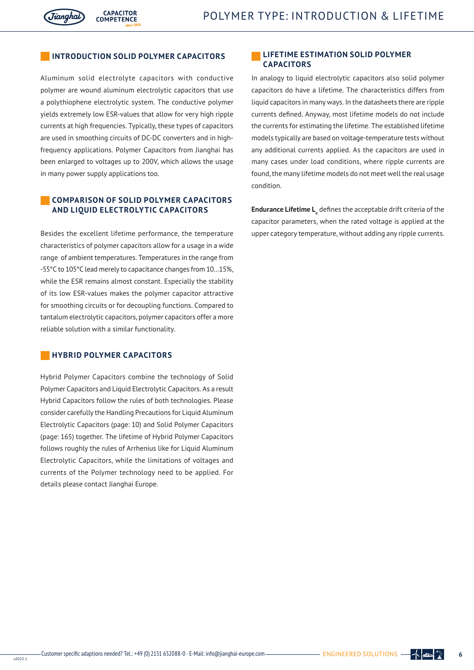## **INTRODUCTION INTRODUCTION SOLID POLYMER CAPACITORS**

**CAPACITOR** 

**COMPETENCE** 

Aluminum solid electrolyte capacitors with conductive polymer are wound aluminum electrolytic capacitors that use a polythiophene electrolytic system. The conductive polymer yields extremely low ESR-values that allow for very high ripple currents at high frequencies. Typically, these types of capacitors are used in smoothing circuits of DC-DC converters and in highfrequency applications. Polymer Capacitors from Jianghai has been enlarged to voltages up to 200V, which allows the usage in many power supply applications too.

## **COMPARISON OF SOLID POLYMER CAPACITORS AND LIQUID ELECTROLYTIC CAPACITORS**

Besides the excellent lifetime performance, the temperature characteristics of polymer capacitors allow for a usage in a wide range of ambient temperatures. Temperatures in the range from -55°C to 105°C lead merely to capacitance changes from 10…15%, while the ESR remains almost constant. Especially the stability of its low ESR-values makes the polymer capacitor attractive for smoothing circuits or for decoupling functions. Compared to tantalum electrolytic capacitors, polymer capacitors offer a more reliable solution with a similar functionality.

## **HYBRID POLYMER CAPACITORS**

Hybrid Polymer Capacitors combine the technology of Solid Polymer Capacitors and Liquid Electrolytic Capacitors. As a result Hybrid Capacitors follow the rules of both technologies. Please consider carefully the Handling Precautions for Liquid Aluminum Electrolytic Capacitors (page: 10) and Solid Polymer Capacitors (page: 165) together. The lifetime of Hybrid Polymer Capacitors follows roughly the rules of Arrhenius like for Liquid Aluminum Electrolytic Capacitors, while the limitations of voltages and currents of the Polymer technology need to be applied. For details please contact Jianghai Europe.

## **LIFETIME ESTIMATION SOLID POLYMER CAPACITORS**

In analogy to liquid electrolytic capacitors also solid polymer capacitors do have a lifetime. The characteristics differs from liquid capacitors in many ways. In the datasheets there are ripple currents defined. Anyway, most lifetime models do not include the currents for estimating the lifetime. The established lifetime models typically are based on voltage-temperature tests without any additional currents applied. As the capacitors are used in many cases under load conditions, where ripple currents are found, the many lifetime models do not meet well the real usage condition.

**Endurance Lifetime L**<sub>e</sub> defines the acceptable drift criteria of the capacitor parameters, when the rated voltage is applied at the upper category temperature, without adding any ripple currents.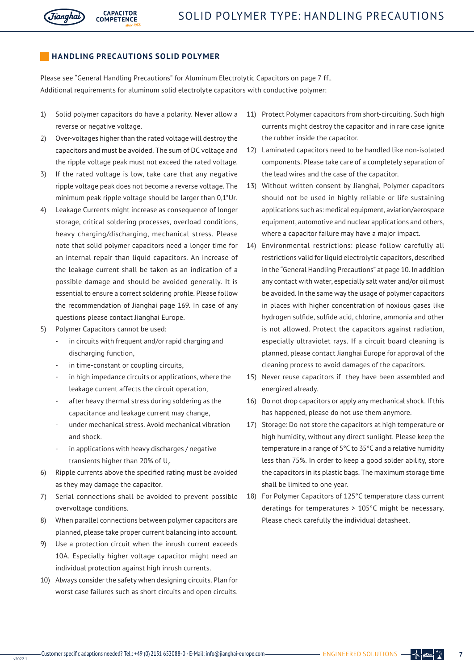

## **HANDLING PRECAUTIONS SOLID POLYMER**

**CAPACITOR** 

COMPETENCE

Please see "General Handling Precautions" for Aluminum Electrolytic Capacitors on page 7 ff.. Additional requirements for aluminum solid electrolyte capacitors with conductive polymer:

- 1) Solid polymer capacitors do have a polarity. Never allow a reverse or negative voltage.
- 2) Over-voltages higher than the rated voltage will destroy the capacitors and must be avoided. The sum of DC voltage and the ripple voltage peak must not exceed the rated voltage.
- 3) If the rated voltage is low, take care that any negative ripple voltage peak does not become a reverse voltage. The minimum peak ripple voltage should be larger than 0,1\*Ur.
- 4) Leakage Currents might increase as consequence of longer storage, critical soldering processes, overload conditions, heavy charging/discharging, mechanical stress. Please note that solid polymer capacitors need a longer time for an internal repair than liquid capacitors. An increase of the leakage current shall be taken as an indication of a possible damage and should be avoided generally. It is essential to ensure a correct soldering profile. Please follow the recommendation of Jianghai page 169. In case of any questions please contact Jianghai Europe.
- 5) Polymer Capacitors cannot be used:
	- in circuits with frequent and/or rapid charging and discharging function,
	- in time-constant or coupling circuits.
	- in high impedance circuits or applications, where the leakage current affects the circuit operation,
	- after heavy thermal stress during soldering as the capacitance and leakage current may change,
	- under mechanical stress. Avoid mechanical vibration and shock.
	- in applications with heavy discharges / negative transients higher than 20% of  $\sf{U}_r$ .
- 6) Ripple currents above the specified rating must be avoided as they may damage the capacitor.
- 7) Serial connections shall be avoided to prevent possible overvoltage conditions.
- 8) When parallel connections between polymer capacitors are planned, please take proper current balancing into account.
- 9) Use a protection circuit when the inrush current exceeds 10A. Especially higher voltage capacitor might need an individual protection against high inrush currents.
- 10) Always consider the safety when designing circuits. Plan for worst case failures such as short circuits and open circuits.
- 11) Protect Polymer capacitors from short-circuiting. Such high currents might destroy the capacitor and in rare case ignite the rubber inside the capacitor.
- 12) Laminated capacitors need to be handled like non-isolated components. Please take care of a completely separation of the lead wires and the case of the capacitor.
- 13) Without written consent by Jianghai, Polymer capacitors should not be used in highly reliable or life sustaining applications such as: medical equipment, aviation/aerospace equipment, automotive and nuclear applications and others, where a capacitor failure may have a major impact.
- 14) Environmental restrictions: please follow carefully all restrictions valid for liquid electrolytic capacitors, described in the "General Handling Precautions" at page 10. In addition any contact with water, especially salt water and/or oil must be avoided. In the same way the usage of polymer capacitors in places with higher concentration of noxious gases like hydrogen sulfide, sulfide acid, chlorine, ammonia and other is not allowed. Protect the capacitors against radiation, especially ultraviolet rays. If a circuit board cleaning is planned, please contact Jianghai Europe for approval of the cleaning process to avoid damages of the capacitors.
- 15) Never reuse capacitors if they have been assembled and energized already.
- 16) Do not drop capacitors or apply any mechanical shock. If this has happened, please do not use them anymore.
- 17) Storage: Do not store the capacitors at high temperature or high humidity, without any direct sunlight. Please keep the temperature in a range of 5°C to 35°C and a relative humidity less than 75%. In order to keep a good solder ability, store the capacitors in its plastic bags. The maximum storage time shall be limited to one year.
- 18) For Polymer Capacitors of 125°C temperature class current deratings for temperatures > 105°C might be necessary. Please check carefully the individual datasheet.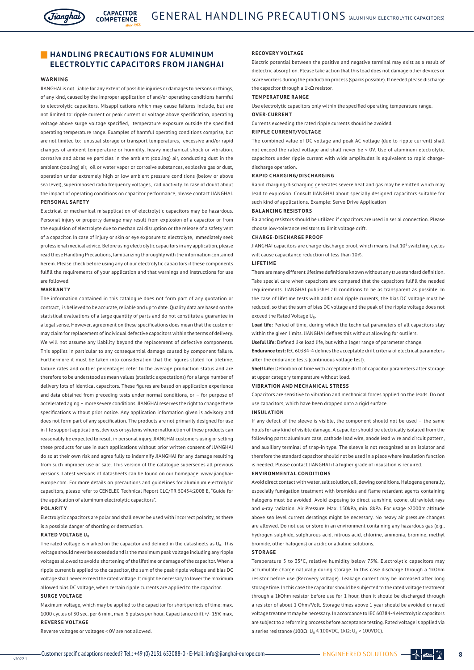

## **HANDLING PRECAUTIONS FOR ALUMINUM ELECTROLYTIC CAPACITORS FROM JIANGHAI**

**CAPACITOR** 

**COMPETENCE** 

#### **WARNING**

JIANGHAI is not liable for any extent of possible injuries or damages to persons or things, of any kind, caused by the improper application of and/or operating conditions harmful to electrolytic capacitors. Misapplications which may cause failures include, but are not limited to: ripple current or peak current or voltage above specification, operating voltage above surge voltage specified, temperature exposure outside the specified operating temperature range. Examples of harmful operating conditions comprise, but are not limited to: unusual storage or transport temperatures, excessive and/or rapid changes of ambient temperature or humidity, heavy mechanical shock or vibration, corrosive and abrasive particles in the ambient (cooling) air, conducting dust in the ambient (cooling) air, oil or water vapor or corrosive substances, explosive gas or dust, operation under extremely high or low ambient pressure conditions (below or above sea level), superimposed radio frequency voltages, radioactivity. In case of doubt about the impact of operating conditions on capacitor performance, please contact JIANGHAI. **PERSONAL SAFETY**

Electrical or mechanical misapplication of electrolytic capacitors may be hazardous. Personal injury or property damage may result from explosion of a capacitor or from the expulsion of electrolyte due to mechanical disruption or the release of a safety vent of a capacitor. In case of injury or skin or eye exposure to electrolyte, immediately seek professional medical advice. Before using electrolytic capacitors in any application, please read these Handling Precautions, familiarizing thoroughly with the information contained herein. Please check before using any of our electrolytic capacitors if these components fulfill the requirements of your application and that warnings and instructions for use are followed.

#### **WARRANTY**

The information contained in this catalogue does not form part of any quotation or contract, is believed to be accurate, reliable and up to date. Quality data are based on the statistical evaluations of a large quantity of parts and do not constitute a guarantee in a legal sense. However, agreement on these specifications does mean that the customer may claim for replacement of individual defective capacitors within the terms of delivery. We will not assume any liability beyond the replacement of defective components. This applies in particular to any consequential damage caused by component failure. Furthermore it must be taken into consideration that the figures stated for lifetime, failure rates and outlier percentages refer to the average production status and are therefore to be understood as mean values (statistic expectations) for a large number of delivery lots of identical capacitors. These figures are based on application experience and data obtained from preceding tests under normal conditions, or – for purpose of accelerated aging – more severe conditions. JIANGHAI reserves the right to change these specifications without prior notice. Any application information given is advisory and does not form part of any specification. The products are not primarily designed for use in life support applications, devices or systems where malfunction of these products can reasonably be expected to result in personal injury. JIANGHAI customers using or selling these products for use in such applications without prior written consent of JIANGHAI do so at their own risk and agree fully to indemnify JIANGHAI for any damage resulting from such improper use or sale. This version of the catalogue supersedes all previous versions. Latest versions of datasheets can be found on our homepage: www.jianghaieurope.com. For more details on precautions and guidelines for aluminum electrolytic capacitors, please refer to CENELEC Technical Report CLC/TR 50454:2008 E, "Guide for the application of aluminum electrolytic capacitors".

#### **POLARITY**

Electrolytic capacitors are polar and shall never be used with incorrect polarity, as there is a possible danger of shorting or destruction.

#### **RATED VOLTAGE U.**

The rated voltage is marked on the capacitor and defined in the datasheets as U<sub>n</sub>. This voltage should never be exceeded and is the maximum peak voltage including any ripple voltages allowed to avoid a shortening of the lifetime or damage of the capacitor. When a ripple current is applied to the capacitor, the sum of the peak ripple voltage and bias DC voltage shall never exceed the rated voltage. It might be necessary to lower the maximum allowed bias DC voltage, when certain ripple currents are applied to the capacitor. **SURGE VOLTAGE**

Maximum voltage, which may be applied to the capacitor for short periods of time: max. 1000 cycles of 30 sec. per 6 min., max. 5 pulses per hour. Capacitance drift +/- 15% max. **REVERSE VOLTAGE**

Reverse voltages or voltages < 0V are not allowed.

#### **RECOVERY VOLTAGE**

Electric potential between the positive and negative terminal may exist as a result of dielectric absorption. Please take action that this load does not damage other devices or scare workers during the production process (sparks possible). If needed please discharge the capacitor through a 1kΩ resistor.

#### **TEMPERATURE RANGE**

Use electrolytic capacitors only within the specified operating temperature range.

## **OVER-CURRENT**

Currents exceeding the rated ripple currents should be avoided.

#### **RIPPLE CURRENT/VOLTAGE**

The combined value of DC voltage and peak AC voltage (due to ripple current) shall not exceed the rated voltage and shall never be < 0V. Use of aluminum electrolytic capacitors under ripple current with wide amplitudes is equivalent to rapid chargedischarge operation.

#### **RAPID CHARGING/DISCHARGING**

Rapid charging/discharging generates severe heat and gas may be emitted which may lead to explosion. Consult JIANGHAI about specially designed capacitors suitable for such kind of applications. Example: Servo Drive Application

#### **BALANCING RESISTORS**

Balancing resistors should be utilized if capacitors are used in serial connection. Please choose low-tolerance resistors to limit voltage drift.

#### **CHARGE-DISCHARGE PROOF**

JIANGHAI capacitors are charge-discharge proof, which means that 10<sup>6</sup> switching cycles will cause capacitance reduction of less than 10%.

#### **LIFETIME**

There are many different lifetime definitions known without any true standard definition. Take special care when capacitors are compared that the capacitors fulfill the needed requirements. JIANGHAI publishes all conditions to be as transparent as possible. In the case of lifetime tests with additional ripple currents, the bias DC voltage must be reduced, so that the sum of bias DC voltage and the peak of the ripple voltage does not exceed the Rated Voltage U<sub>p</sub>.

**Load life:** Period of time, during which the technical parameters of all capacitors stay within the given limits. JIANGHAI defines this without allowing for outliers.

**Useful life:** Defined like load life, but with a lager range of parameter change.

**Endurance test:** IEC 60384-4 defines the acceptable drift criteria of electrical parameters after the endurance tests (continuous voltage test).

**Shelf Life:** Definition of time with acceptable drift of capacitor parameters after storage at upper category temperature without load.

#### **VIBRATION AND MECHANICAL STRESS**

Capacitors are sensitive to vibration and mechanical forces applied on the leads. Do not use capacitors, which have been dropped onto a rigid surface.

#### **INSULATION**

If any defect of the sleeve is visible, the component should not be used – the same holds for any kind of visible damage. A capacitor should be electrically isolated from the following parts: aluminum case, cathode lead wire, anode lead wire and circuit pattern, and auxiliary terminal of snap-in type. The sleeve is not recognized as an isolator and therefore the standard capacitor should not be used in a place where insulation function is needed. Please contact JIANGHAI if a higher grade of insulation is required.

#### **ENVIRONMENTAL CONDITIONS**

Avoid direct contact with water, salt solution, oil, dewing conditions. Halogens generally, especially fumigation treatment with bromides and flame retardant agents containing halogens must be avoided. Avoid exposing to direct sunshine, ozone, ultraviolet rays and x-ray radiation. Air Pressure: Max. 150kPa, min. 8kPa. For usage >2000m altitude above sea level current deratings might be necessary. No heavy air pressure changes are allowed. Do not use or store in an environment containing any hazardous gas (e.g., hydrogen sulphide, sulphurous acid, nitrous acid, chlorine, ammonia, bromine, methyl bromide, other halogens) or acidic or alkaline solutions.

#### **STORAGE**

Temperature 5 to 35°C, relative humidity below 75%. Electrolytic capacitors may accumulate charge naturally during storage. In this case discharge through a 1kOhm resistor before use (Recovery voltage). Leakage current may be increased after long storage time. In this case the capacitor should be subjected to the rated voltage treatment through a 1kOhm resistor before use for 1 hour, then it should be discharged through a resistor of about 1 Ohm/Volt. Storage times above 1 year should be avoided or rated voltage treatment may be necessary. In accordance to IEC 60384-4 electrolytic capacitors are subject to a reforming process before acceptance testing. Rated voltage is applied via a series resistance (100Ω: U<sub>R</sub>  $\leq$  100VDC, 1kΩ: U<sub>R</sub> > 100VDC).